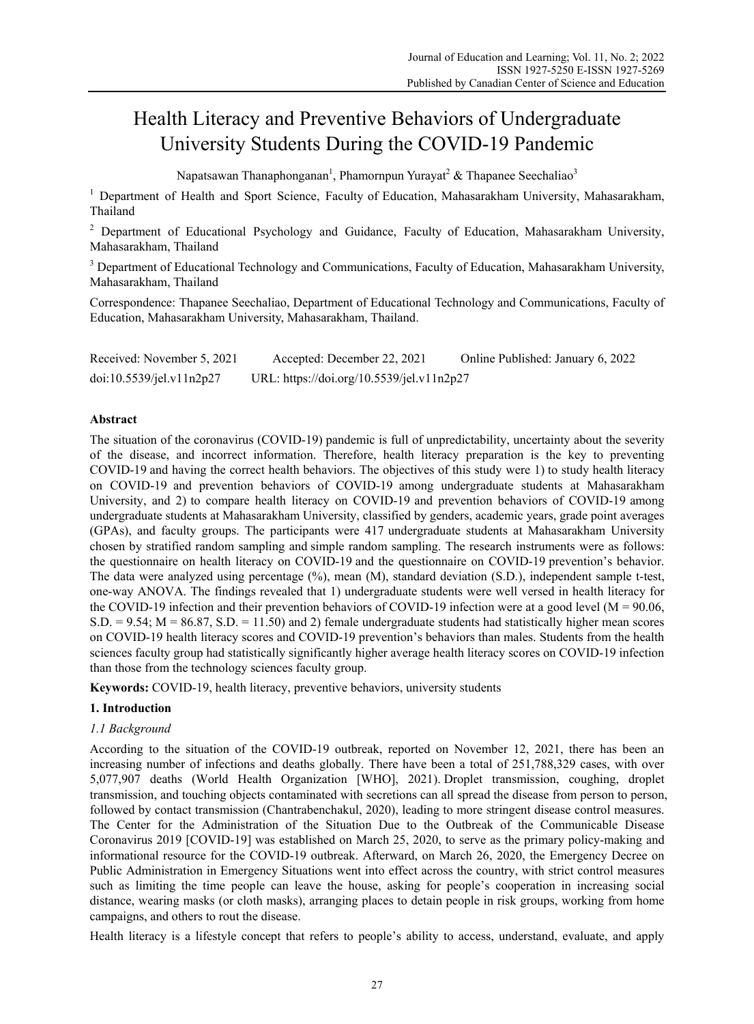# Health Literacy and Preventive Behaviors of Undergraduate University Students During the COVID-19 Pandemic

Napatsawan Thanaphonganan<sup>1</sup>, Phamornpun Yurayat<sup>2</sup> & Thapanee Seechaliao<sup>3</sup>

<sup>1</sup> Department of Health and Sport Science, Faculty of Education, Mahasarakham University, Mahasarakham, Thailand

<sup>2</sup> Department of Educational Psychology and Guidance, Faculty of Education, Mahasarakham University, Mahasarakham, Thailand

<sup>3</sup> Department of Educational Technology and Communications, Faculty of Education, Mahasarakham University, Mahasarakham, Thailand

Correspondence: Thapanee Seechaliao, Department of Educational Technology and Communications, Faculty of Education, Mahasarakham University, Mahasarakham, Thailand.

| Received: November 5, 2021 | Accepted: December 22, 2021               | Online Published: January 6, 2022 |
|----------------------------|-------------------------------------------|-----------------------------------|
| doi:10.5539/jel.v11n2p27   | URL: https://doi.org/10.5539/jel.v11n2p27 |                                   |

# **Abstract**

The situation of the coronavirus (COVID-19) pandemic is full of unpredictability, uncertainty about the severity of the disease, and incorrect information. Therefore, health literacy preparation is the key to preventing COVID-19 and having the correct health behaviors. The objectives of this study were 1) to study health literacy on COVID-19 and prevention behaviors of COVID-19 among undergraduate students at Mahasarakham University, and 2) to compare health literacy on COVID-19 and prevention behaviors of COVID-19 among undergraduate students at Mahasarakham University, classified by genders, academic years, grade point averages (GPAs), and faculty groups. The participants were 417 undergraduate students at Mahasarakham University chosen by stratified random sampling and simple random sampling. The research instruments were as follows: the questionnaire on health literacy on COVID-19 and the questionnaire on COVID-19 prevention's behavior. The data were analyzed using percentage (%), mean (M), standard deviation (S.D.), independent sample t-test, one-way ANOVA. The findings revealed that 1) undergraduate students were well versed in health literacy for the COVID-19 infection and their prevention behaviors of COVID-19 infection were at a good level ( $M = 90.06$ ,  $S.D. = 9.54$ ;  $M = 86.87$ ,  $S.D. = 11.50$ ) and 2) female undergraduate students had statistically higher mean scores on COVID-19 health literacy scores and COVID-19 prevention's behaviors than males. Students from the health sciences faculty group had statistically significantly higher average health literacy scores on COVID-19 infection than those from the technology sciences faculty group.

**Keywords:** COVID-19, health literacy, preventive behaviors, university students

## **1. Introduction**

# *1.1 Background*

According to the situation of the COVID-19 outbreak, reported on November 12, 2021, there has been an increasing number of infections and deaths globally. There have been a total of 251,788,329 cases, with over 5,077,907 deaths (World Health Organization [WHO], 2021). Droplet transmission, coughing, droplet transmission, and touching objects contaminated with secretions can all spread the disease from person to person, followed by contact transmission (Chantrabenchakul, 2020), leading to more stringent disease control measures. The Center for the Administration of the Situation Due to the Outbreak of the Communicable Disease Coronavirus 2019 [COVID-19] was established on March 25, 2020, to serve as the primary policy-making and informational resource for the COVID-19 outbreak. Afterward, on March 26, 2020, the Emergency Decree on Public Administration in Emergency Situations went into effect across the country, with strict control measures such as limiting the time people can leave the house, asking for people's cooperation in increasing social distance, wearing masks (or cloth masks), arranging places to detain people in risk groups, working from home campaigns, and others to rout the disease.

Health literacy is a lifestyle concept that refers to people's ability to access, understand, evaluate, and apply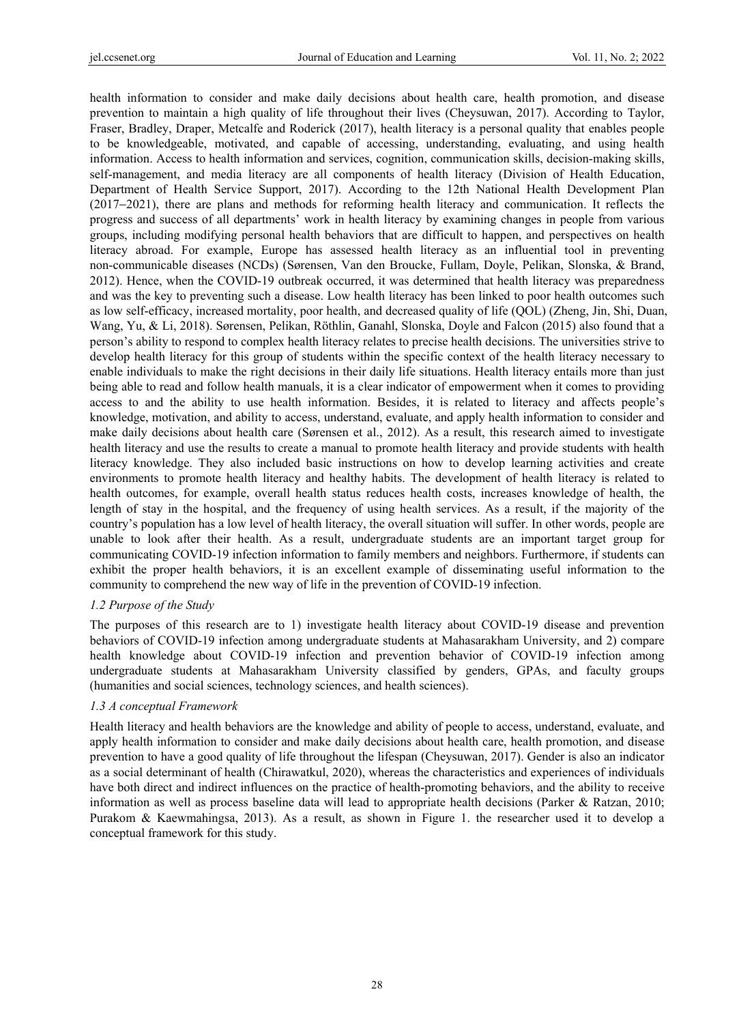health information to consider and make daily decisions about health care, health promotion, and disease prevention to maintain a high quality of life throughout their lives (Cheysuwan, 2017). According to Taylor, Fraser, Bradley, Draper, Metcalfe and Roderick (2017), health literacy is a personal quality that enables people to be knowledgeable, motivated, and capable of accessing, understanding, evaluating, and using health information. Access to health information and services, cognition, communication skills, decision-making skills, self-management, and media literacy are all components of health literacy (Division of Health Education, Department of Health Service Support, 2017). According to the 12th National Health Development Plan (2017−2021), there are plans and methods for reforming health literacy and communication. It reflects the progress and success of all departments' work in health literacy by examining changes in people from various groups, including modifying personal health behaviors that are difficult to happen, and perspectives on health literacy abroad. For example, Europe has assessed health literacy as an influential tool in preventing non-communicable diseases (NCDs) (Sørensen, Van den Broucke, Fullam, Doyle, Pelikan, Slonska, & Brand, 2012). Hence, when the COVID-19 outbreak occurred, it was determined that health literacy was preparedness and was the key to preventing such a disease. Low health literacy has been linked to poor health outcomes such as low self-efficacy, increased mortality, poor health, and decreased quality of life (QOL) (Zheng, Jin, Shi, Duan, Wang, Yu, & Li, 2018). Sørensen, Pelikan, Röthlin, Ganahl, Slonska, Doyle and Falcon (2015) also found that a person's ability to respond to complex health literacy relates to precise health decisions. The universities strive to develop health literacy for this group of students within the specific context of the health literacy necessary to enable individuals to make the right decisions in their daily life situations. Health literacy entails more than just being able to read and follow health manuals, it is a clear indicator of empowerment when it comes to providing access to and the ability to use health information. Besides, it is related to literacy and affects people's knowledge, motivation, and ability to access, understand, evaluate, and apply health information to consider and make daily decisions about health care (Sørensen et al., 2012). As a result, this research aimed to investigate health literacy and use the results to create a manual to promote health literacy and provide students with health literacy knowledge. They also included basic instructions on how to develop learning activities and create environments to promote health literacy and healthy habits. The development of health literacy is related to health outcomes, for example, overall health status reduces health costs, increases knowledge of health, the length of stay in the hospital, and the frequency of using health services. As a result, if the majority of the country's population has a low level of health literacy, the overall situation will suffer. In other words, people are unable to look after their health. As a result, undergraduate students are an important target group for communicating COVID-19 infection information to family members and neighbors. Furthermore, if students can exhibit the proper health behaviors, it is an excellent example of disseminating useful information to the community to comprehend the new way of life in the prevention of COVID-19 infection.

#### *1.2 Purpose of the Study*

The purposes of this research are to 1) investigate health literacy about COVID-19 disease and prevention behaviors of COVID-19 infection among undergraduate students at Mahasarakham University, and 2) compare health knowledge about COVID-19 infection and prevention behavior of COVID-19 infection among undergraduate students at Mahasarakham University classified by genders, GPAs, and faculty groups (humanities and social sciences, technology sciences, and health sciences).

## *1.3 A conceptual Framework*

Health literacy and health behaviors are the knowledge and ability of people to access, understand, evaluate, and apply health information to consider and make daily decisions about health care, health promotion, and disease prevention to have a good quality of life throughout the lifespan (Cheysuwan, 2017). Gender is also an indicator as a social determinant of health (Chirawatkul, 2020), whereas the characteristics and experiences of individuals have both direct and indirect influences on the practice of health-promoting behaviors, and the ability to receive information as well as process baseline data will lead to appropriate health decisions (Parker & Ratzan, 2010; Purakom & Kaewmahingsa, 2013). As a result, as shown in Figure 1. the researcher used it to develop a conceptual framework for this study.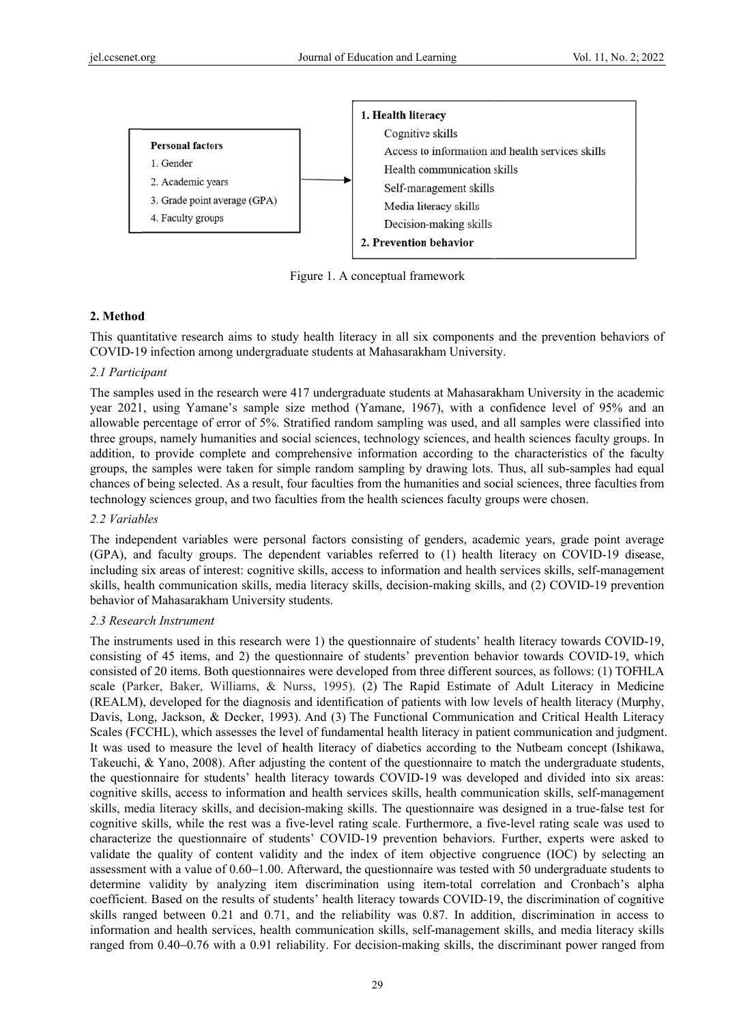

Figure 1. A conceptual framework

# **2. Method d**

This quantitative research aims to study health literacy in all six components and the prevention behaviors of COVID-19 infection among undergraduate students at Mahasarakham University.

## *2.1 Partici ipant*

The samples used in the research were 417 undergraduate students at Mahasarakham University in the academic year 2021, using Yamane's sample size method (Yamane, 1967), with a confidence level of 95% and an allowable percentage of error of 5%. Stratified random sampling was used, and all samples were classified into three groups, namely humanities and social sciences, technology sciences, and health sciences faculty groups. In addition, to provide complete and comprehensive information according to the characteristics of the faculty groups, the samples were taken for simple random sampling by drawing lots. Thus, all sub-samples had equal chances of being selected. As a result, four faculties from the humanities and social sciences, three faculties from technology sciences group, and two faculties from the health sciences faculty groups were chosen.

## 2.2 *Variables*

The independent variables were personal factors consisting of genders, academic years, grade point average (GPA), and faculty groups. The dependent variables referred to (1) health literacy on COVID-19 disease, including six areas of interest: cognitive skills, access to information and health services skills, self-management skills, health communication skills, media literacy skills, decision-making skills, and (2) COVID-19 prevention behavior of Mahasarakham University students.

## 2.3 Research Instrument

The instruments used in this research were 1) the questionnaire of students' health literacy towards COVID-19, consisting of 45 items, and 2) the questionnaire of students' prevention behavior towards COVID-19, which consisted of 20 items. Both questionnaires were developed from three different sources, as follows: (1) TOFHLA scale (Parker, Baker, Williams, & Nurss, 1995). (2) The Rapid Estimate of Adult Literacy in Medicine (REALM), developed for the diagnosis and identification of patients with low levels of health literacy (Murphy, Davis, Long, Jackson, & Decker, 1993). And (3) The Functional Communication and Critical Health Literacy Scales (FCCHL), which assesses the level of fundamental health literacy in patient communication and judgment. It was used to measure the level of health literacy of diabetics according to the Nutbeam concept (Ishikawa, Takeuchi, & Yano, 2008). After adjusting the content of the questionnaire to match the undergraduate students, the questionnaire for students' health literacy towards COVID-19 was developed and divided into six areas: cognitive skills, access to information and health services skills, health communication skills, self-management skills, media literacy skills, and decision-making skills. The questionnaire was designed in a true-false test for cognitive skills, while the rest was a five-level rating scale. Furthermore, a five-level rating scale was used to characterize the questionnaire of students' COVID-19 prevention behaviors. Further, experts were asked to validate the quality of content validity and the index of item objective congruence (IOC) by selecting an assessment with a value of 0.60–1.00. Afterward, the questionnaire was tested with 50 undergraduate students to determine validity by analyzing item discrimination using item-total correlation and Cronbach's alpha coefficient. Based on the results of students' health literacy towards COVID-19, the discrimination of cognitive skills ranged between 0.21 and 0.71, and the reliability was 0.87. In addition, discrimination in access to information and health services, health communication skills, self-management skills, and media literacy skills ranged from 0.40–0.76 with a 0.91 reliability. For decision-making skills, the discriminant power ranged from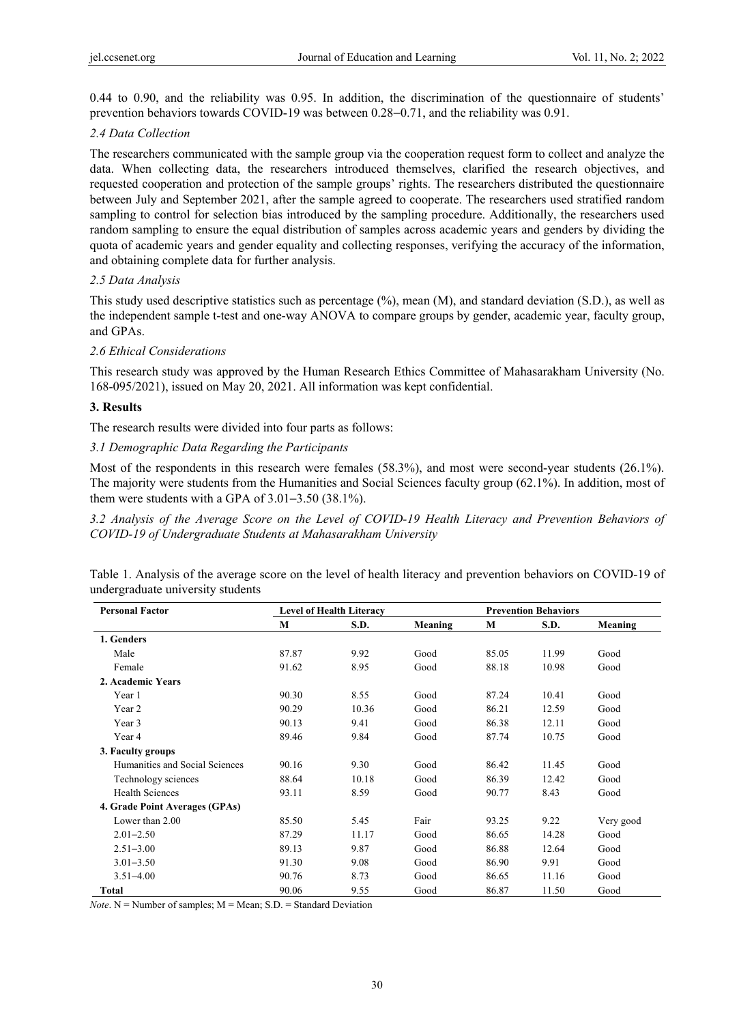0.44 to 0.90, and the reliability was 0.95. In addition, the discrimination of the questionnaire of students' prevention behaviors towards COVID-19 was between 0.28−0.71, and the reliability was 0.91.

# *2.4 Data Collection*

The researchers communicated with the sample group via the cooperation request form to collect and analyze the data. When collecting data, the researchers introduced themselves, clarified the research objectives, and requested cooperation and protection of the sample groups' rights. The researchers distributed the questionnaire between July and September 2021, after the sample agreed to cooperate. The researchers used stratified random sampling to control for selection bias introduced by the sampling procedure. Additionally, the researchers used random sampling to ensure the equal distribution of samples across academic years and genders by dividing the quota of academic years and gender equality and collecting responses, verifying the accuracy of the information, and obtaining complete data for further analysis.

# *2.5 Data Analysis*

This study used descriptive statistics such as percentage (%), mean (M), and standard deviation (S.D.), as well as the independent sample t-test and one-way ANOVA to compare groups by gender, academic year, faculty group, and GPAs.

# *2.6 Ethical Considerations*

This research study was approved by the Human Research Ethics Committee of Mahasarakham University (No. 168-095/2021), issued on May 20, 2021. All information was kept confidential.

# **3. Results**

The research results were divided into four parts as follows:

# *3.1 Demographic Data Regarding the Participants*

Most of the respondents in this research were females (58.3%), and most were second-year students (26.1%). The majority were students from the Humanities and Social Sciences faculty group (62.1%). In addition, most of them were students with a GPA of 3.01−3.50 (38.1%).

*3.2 Analysis of the Average Score on the Level of COVID-19 Health Literacy and Prevention Behaviors of COVID-19 of Undergraduate Students at Mahasarakham University* 

Table 1. Analysis of the average score on the level of health literacy and prevention behaviors on COVID-19 of undergraduate university students

| <b>Personal Factor</b>         | <b>Level of Health Literacy</b> |       |         | <b>Prevention Behaviors</b> |       |           |  |
|--------------------------------|---------------------------------|-------|---------|-----------------------------|-------|-----------|--|
|                                | M                               | S.D.  | Meaning | M                           | S.D.  | Meaning   |  |
| 1. Genders                     |                                 |       |         |                             |       |           |  |
| Male                           | 87.87                           | 9.92  | Good    | 85.05                       | 11.99 | Good      |  |
| Female                         | 91.62                           | 8.95  | Good    | 88.18                       | 10.98 | Good      |  |
| 2. Academic Years              |                                 |       |         |                             |       |           |  |
| Year 1                         | 90.30                           | 8.55  | Good    | 87.24                       | 10.41 | Good      |  |
| Year 2                         | 90.29                           | 10.36 | Good    | 86.21                       | 12.59 | Good      |  |
| Year 3                         | 90.13                           | 9.41  | Good    | 86.38                       | 12.11 | Good      |  |
| Year 4                         | 89.46                           | 9.84  | Good    | 87.74                       | 10.75 | Good      |  |
| 3. Faculty groups              |                                 |       |         |                             |       |           |  |
| Humanities and Social Sciences | 90.16                           | 9.30  | Good    | 86.42                       | 11.45 | Good      |  |
| Technology sciences            | 88.64                           | 10.18 | Good    | 86.39                       | 12.42 | Good      |  |
| <b>Health Sciences</b>         | 93.11                           | 8.59  | Good    | 90.77                       | 8.43  | Good      |  |
| 4. Grade Point Averages (GPAs) |                                 |       |         |                             |       |           |  |
| Lower than 2.00                | 85.50                           | 5.45  | Fair    | 93.25                       | 9.22  | Very good |  |
| $2.01 - 2.50$                  | 87.29                           | 11.17 | Good    | 86.65                       | 14.28 | Good      |  |
| $2.51 - 3.00$                  | 89.13                           | 9.87  | Good    | 86.88                       | 12.64 | Good      |  |
| $3.01 - 3.50$                  | 91.30                           | 9.08  | Good    | 86.90                       | 9.91  | Good      |  |
| $3.51 - 4.00$                  | 90.76                           | 8.73  | Good    | 86.65                       | 11.16 | Good      |  |
| Total                          | 90.06                           | 9.55  | Good    | 86.87                       | 11.50 | Good      |  |

*Note*.  $N =$  Number of samples;  $M =$  Mean;  $S.D.$  = Standard Deviation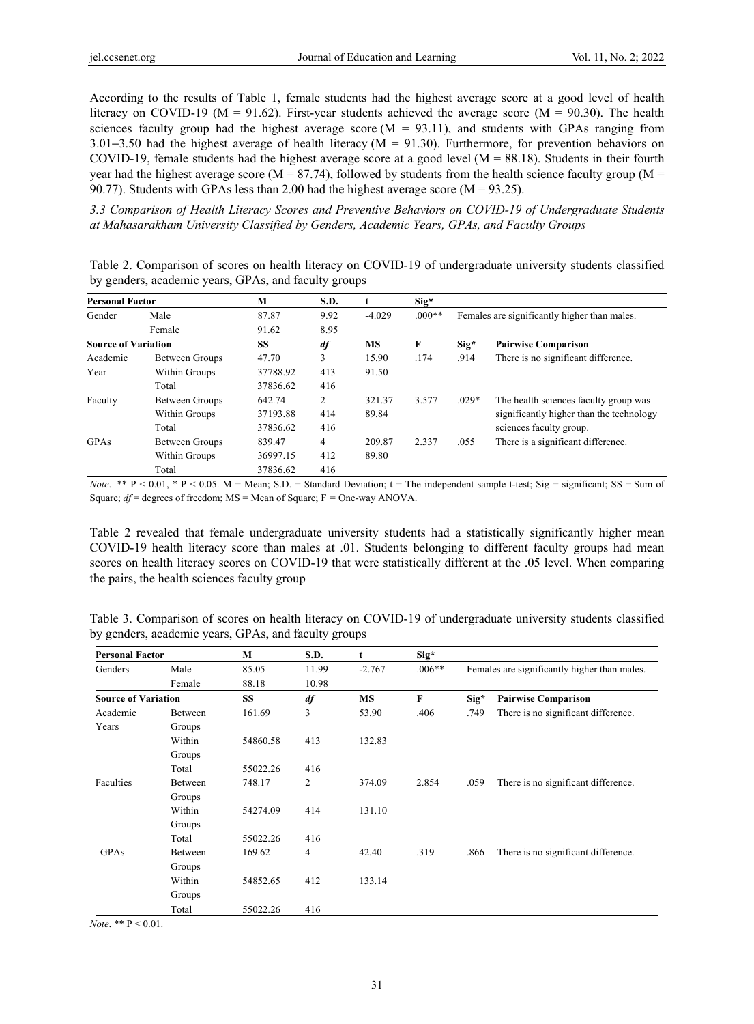According to the results of Table 1, female students had the highest average score at a good level of health literacy on COVID-19 ( $M = 91.62$ ). First-year students achieved the average score ( $M = 90.30$ ). The health sciences faculty group had the highest average score  $(M = 93.11)$ , and students with GPAs ranging from 3.01−3.50 had the highest average of health literacy (M = 91.30). Furthermore, for prevention behaviors on COVID-19, female students had the highest average score at a good level  $(M = 88.18)$ . Students in their fourth year had the highest average score (M = 87.74), followed by students from the health science faculty group (M = 90.77). Students with GPAs less than 2.00 had the highest average score ( $M = 93.25$ ).

*3.3 Comparison of Health Literacy Scores and Preventive Behaviors on COVID-19 of Undergraduate Students at Mahasarakham University Classified by Genders, Academic Years, GPAs, and Faculty Groups* 

Table 2. Comparison of scores on health literacy on COVID-19 of undergraduate university students classified by genders, academic years, GPAs, and faculty groups

| <b>Personal Factor</b>     |                | M        | S.D. | t        | $Sig*$   |                                              |                                          |  |
|----------------------------|----------------|----------|------|----------|----------|----------------------------------------------|------------------------------------------|--|
| Gender                     | Male           | 87.87    | 9.92 | $-4.029$ | $.000**$ | Females are significantly higher than males. |                                          |  |
|                            | Female         | 91.62    | 8.95 |          |          |                                              |                                          |  |
| <b>Source of Variation</b> |                | SS       | df   | MS       | F        | $\text{Sig}^{\star}$                         | <b>Pairwise Comparison</b>               |  |
| Academic                   | Between Groups | 47.70    | 3    | 15.90    | .174     | .914                                         | There is no significant difference.      |  |
| Year                       | Within Groups  | 37788.92 | 413  | 91.50    |          |                                              |                                          |  |
|                            | Total          | 37836.62 | 416  |          |          |                                              |                                          |  |
| Faculty                    | Between Groups | 642.74   | 2    | 321.37   | 3.577    | $.029*$                                      | The health sciences faculty group was    |  |
|                            | Within Groups  | 37193.88 | 414  | 89.84    |          |                                              | significantly higher than the technology |  |
|                            | Total          | 37836.62 | 416  |          |          |                                              | sciences faculty group.                  |  |
| GPAs                       | Between Groups | 839.47   | 4    | 209.87   | 2.337    | .055                                         | There is a significant difference.       |  |
|                            | Within Groups  | 36997.15 | 412  | 89.80    |          |                                              |                                          |  |
|                            | Total          | 37836.62 | 416  |          |          |                                              |                                          |  |

*Note.* \*\*  $P < 0.01$ , \*  $P < 0.05$ .  $M =$  Mean; S.D. = Standard Deviation;  $t =$  The independent sample t-test; Sig = significant; SS = Sum of Square;  $df$  = degrees of freedom; MS = Mean of Square; F = One-way ANOVA.

Table 2 revealed that female undergraduate university students had a statistically significantly higher mean COVID-19 health literacy score than males at .01. Students belonging to different faculty groups had mean scores on health literacy scores on COVID-19 that were statistically different at the .05 level. When comparing the pairs, the health sciences faculty group

| <b>Personal Factor</b>     |         | M         | S.D.           | t         | $\text{Sig}^*$ |                                              |                                     |
|----------------------------|---------|-----------|----------------|-----------|----------------|----------------------------------------------|-------------------------------------|
| Genders                    | Male    | 85.05     | 11.99          | $-2.767$  | $.006**$       | Females are significantly higher than males. |                                     |
|                            | Female  | 88.18     | 10.98          |           |                |                                              |                                     |
| <b>Source of Variation</b> |         | <b>SS</b> | df             | <b>MS</b> | F              | Sig <sup>*</sup>                             | <b>Pairwise Comparison</b>          |
| Academic                   | Between | 161.69    | 3              | 53.90     | .406           | .749                                         | There is no significant difference. |
| Years                      | Groups  |           |                |           |                |                                              |                                     |
|                            | Within  | 54860.58  | 413            | 132.83    |                |                                              |                                     |
|                            | Groups  |           |                |           |                |                                              |                                     |
|                            | Total   | 55022.26  | 416            |           |                |                                              |                                     |
| Faculties                  | Between | 748.17    | $\overline{2}$ | 374.09    | 2.854          | .059                                         | There is no significant difference. |
|                            | Groups  |           |                |           |                |                                              |                                     |
|                            | Within  | 54274.09  | 414            | 131.10    |                |                                              |                                     |
|                            | Groups  |           |                |           |                |                                              |                                     |
|                            | Total   | 55022.26  | 416            |           |                |                                              |                                     |
| GPAs                       | Between | 169.62    | 4              | 42.40     | .319           | .866                                         | There is no significant difference. |
|                            | Groups  |           |                |           |                |                                              |                                     |
|                            | Within  | 54852.65  | 412            | 133.14    |                |                                              |                                     |
|                            | Groups  |           |                |           |                |                                              |                                     |
|                            | Total   | 55022.26  | 416            |           |                |                                              |                                     |

Table 3. Comparison of scores on health literacy on COVID-19 of undergraduate university students classified by genders, academic years, GPAs, and faculty groups

*Note*. \*\* P < 0.01.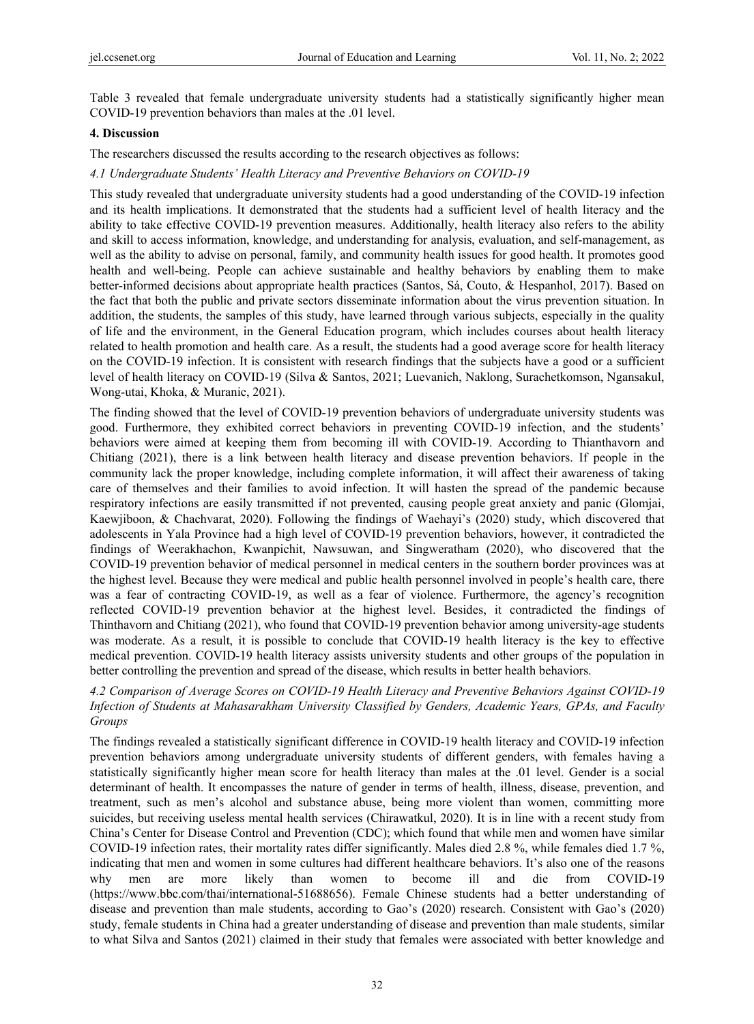Table 3 revealed that female undergraduate university students had a statistically significantly higher mean COVID-19 prevention behaviors than males at the .01 level.

## **4. Discussion**

The researchers discussed the results according to the research objectives as follows:

*4.1 Undergraduate Students' Health Literacy and Preventive Behaviors on COVID-19* 

This study revealed that undergraduate university students had a good understanding of the COVID-19 infection and its health implications. It demonstrated that the students had a sufficient level of health literacy and the ability to take effective COVID-19 prevention measures. Additionally, health literacy also refers to the ability and skill to access information, knowledge, and understanding for analysis, evaluation, and self-management, as well as the ability to advise on personal, family, and community health issues for good health. It promotes good health and well-being. People can achieve sustainable and healthy behaviors by enabling them to make better-informed decisions about appropriate health practices (Santos, Sá, Couto, & Hespanhol, 2017). Based on the fact that both the public and private sectors disseminate information about the virus prevention situation. In addition, the students, the samples of this study, have learned through various subjects, especially in the quality of life and the environment, in the General Education program, which includes courses about health literacy related to health promotion and health care. As a result, the students had a good average score for health literacy on the COVID-19 infection. It is consistent with research findings that the subjects have a good or a sufficient level of health literacy on COVID-19 (Silva & Santos, 2021; Luevanich, Naklong, Surachetkomson, Ngansakul, Wong-utai, Khoka, & Muranic, 2021).

The finding showed that the level of COVID-19 prevention behaviors of undergraduate university students was good. Furthermore, they exhibited correct behaviors in preventing COVID-19 infection, and the students' behaviors were aimed at keeping them from becoming ill with COVID-19. According to Thianthavorn and Chitiang (2021), there is a link between health literacy and disease prevention behaviors. If people in the community lack the proper knowledge, including complete information, it will affect their awareness of taking care of themselves and their families to avoid infection. It will hasten the spread of the pandemic because respiratory infections are easily transmitted if not prevented, causing people great anxiety and panic (Glomjai, Kaewjiboon, & Chachvarat, 2020). Following the findings of Waehayi's (2020) study, which discovered that adolescents in Yala Province had a high level of COVID-19 prevention behaviors, however, it contradicted the findings of Weerakhachon, Kwanpichit, Nawsuwan, and Singweratham (2020), who discovered that the COVID-19 prevention behavior of medical personnel in medical centers in the southern border provinces was at the highest level. Because they were medical and public health personnel involved in people's health care, there was a fear of contracting COVID-19, as well as a fear of violence. Furthermore, the agency's recognition reflected COVID-19 prevention behavior at the highest level. Besides, it contradicted the findings of Thinthavorn and Chitiang (2021), who found that COVID-19 prevention behavior among university-age students was moderate. As a result, it is possible to conclude that COVID-19 health literacy is the key to effective medical prevention. COVID-19 health literacy assists university students and other groups of the population in better controlling the prevention and spread of the disease, which results in better health behaviors.

*4.2 Comparison of Average Scores on COVID-19 Health Literacy and Preventive Behaviors Against COVID-19 Infection of Students at Mahasarakham University Classified by Genders, Academic Years, GPAs, and Faculty Groups* 

The findings revealed a statistically significant difference in COVID-19 health literacy and COVID-19 infection prevention behaviors among undergraduate university students of different genders, with females having a statistically significantly higher mean score for health literacy than males at the .01 level. Gender is a social determinant of health. It encompasses the nature of gender in terms of health, illness, disease, prevention, and treatment, such as men's alcohol and substance abuse, being more violent than women, committing more suicides, but receiving useless mental health services (Chirawatkul, 2020). It is in line with a recent study from China's Center for Disease Control and Prevention (CDC); which found that while men and women have similar COVID-19 infection rates, their mortality rates differ significantly. Males died 2.8 %, while females died 1.7 %, indicating that men and women in some cultures had different healthcare behaviors. It's also one of the reasons why men are more likely than women to become ill and die from COVID-19 (https://www.bbc.com/thai/international-51688656). Female Chinese students had a better understanding of disease and prevention than male students, according to Gao's (2020) research. Consistent with Gao's (2020) study, female students in China had a greater understanding of disease and prevention than male students, similar to what Silva and Santos (2021) claimed in their study that females were associated with better knowledge and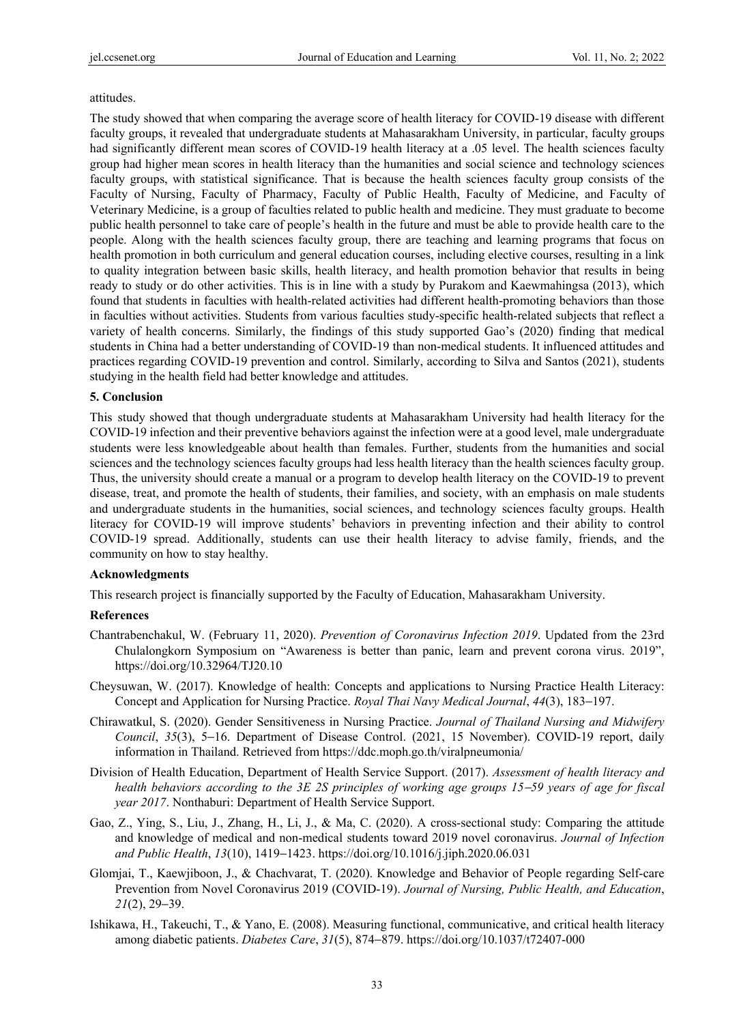#### attitudes.

The study showed that when comparing the average score of health literacy for COVID-19 disease with different faculty groups, it revealed that undergraduate students at Mahasarakham University, in particular, faculty groups had significantly different mean scores of COVID-19 health literacy at a .05 level. The health sciences faculty group had higher mean scores in health literacy than the humanities and social science and technology sciences faculty groups, with statistical significance. That is because the health sciences faculty group consists of the Faculty of Nursing, Faculty of Pharmacy, Faculty of Public Health, Faculty of Medicine, and Faculty of Veterinary Medicine, is a group of faculties related to public health and medicine. They must graduate to become public health personnel to take care of people's health in the future and must be able to provide health care to the people. Along with the health sciences faculty group, there are teaching and learning programs that focus on health promotion in both curriculum and general education courses, including elective courses, resulting in a link to quality integration between basic skills, health literacy, and health promotion behavior that results in being ready to study or do other activities. This is in line with a study by Purakom and Kaewmahingsa (2013), which found that students in faculties with health-related activities had different health-promoting behaviors than those in faculties without activities. Students from various faculties study-specific health-related subjects that reflect a variety of health concerns. Similarly, the findings of this study supported Gao's (2020) finding that medical students in China had a better understanding of COVID-19 than non-medical students. It influenced attitudes and practices regarding COVID-19 prevention and control. Similarly, according to Silva and Santos (2021), students studying in the health field had better knowledge and attitudes.

### **5. Conclusion**

This study showed that though undergraduate students at Mahasarakham University had health literacy for the COVID-19 infection and their preventive behaviors against the infection were at a good level, male undergraduate students were less knowledgeable about health than females. Further, students from the humanities and social sciences and the technology sciences faculty groups had less health literacy than the health sciences faculty group. Thus, the university should create a manual or a program to develop health literacy on the COVID-19 to prevent disease, treat, and promote the health of students, their families, and society, with an emphasis on male students and undergraduate students in the humanities, social sciences, and technology sciences faculty groups. Health literacy for COVID-19 will improve students' behaviors in preventing infection and their ability to control COVID-19 spread. Additionally, students can use their health literacy to advise family, friends, and the community on how to stay healthy.

## **Acknowledgments**

This research project is financially supported by the Faculty of Education, Mahasarakham University.

## **References**

- Chantrabenchakul, W. (February 11, 2020). *Prevention of Coronavirus Infection 2019*. Updated from the 23rd Chulalongkorn Symposium on "Awareness is better than panic, learn and prevent corona virus. 2019", https://doi.org/10.32964/TJ20.10
- Cheysuwan, W. (2017). Knowledge of health: Concepts and applications to Nursing Practice Health Literacy: Concept and Application for Nursing Practice. *Royal Thai Navy Medical Journal*, *44*(3), 183−197.
- Chirawatkul, S. (2020). Gender Sensitiveness in Nursing Practice. *Journal of Thailand Nursing and Midwifery Council*, *35*(3), 5−16. Department of Disease Control. (2021, 15 November). COVID-19 report, daily information in Thailand. Retrieved from https://ddc.moph.go.th/viralpneumonia/
- Division of Health Education, Department of Health Service Support. (2017). *Assessment of health literacy and health behaviors according to the 3E 2S principles of working age groups 15*−*59 years of age for fiscal year 2017*. Nonthaburi: Department of Health Service Support.
- Gao, Z., Ying, S., Liu, J., Zhang, H., Li, J., & Ma, C. (2020). A cross-sectional study: Comparing the attitude and knowledge of medical and non-medical students toward 2019 novel coronavirus. *Journal of Infection and Public Health*, *13*(10), 1419−1423. https://doi.org/10.1016/j.jiph.2020.06.031
- Glomjai, T., Kaewjiboon, J., & Chachvarat, T. (2020). Knowledge and Behavior of People regarding Self-care Prevention from Novel Coronavirus 2019 (COVID-19). *Journal of Nursing, Public Health, and Education*, *21*(2), 29−39.
- Ishikawa, H., Takeuchi, T., & Yano, E. (2008). Measuring functional, communicative, and critical health literacy among diabetic patients. *Diabetes Care*, *31*(5), 874−879. https://doi.org/10.1037/t72407-000